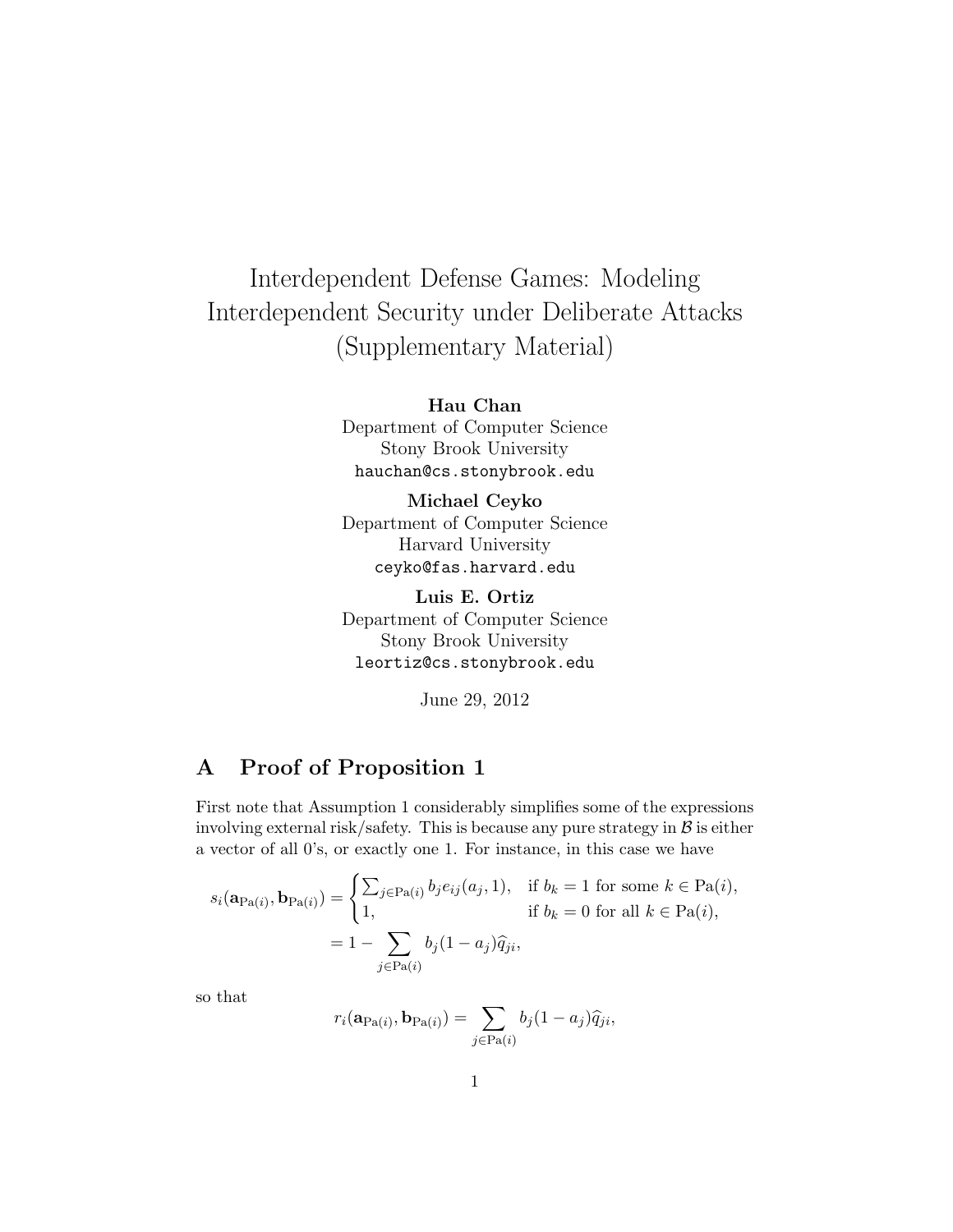# Interdependent Defense Games: Modeling Interdependent Security under Deliberate Attacks (Supplementary Material)

Hau Chan Department of Computer Science Stony Brook University hauchan@cs.stonybrook.edu

Michael Ceyko Department of Computer Science Harvard University ceyko@fas.harvard.edu

Luis E. Ortiz Department of Computer Science Stony Brook University leortiz@cs.stonybrook.edu

June 29, 2012

## A Proof of Proposition 1

First note that Assumption 1 considerably simplifies some of the expressions involving external risk/safety. This is because any pure strategy in  $\beta$  is either a vector of all 0's, or exactly one 1. For instance, in this case we have

$$
s_i(\mathbf{a}_{\text{Pa}(i)}, \mathbf{b}_{\text{Pa}(i)}) = \begin{cases} \sum_{j \in \text{Pa}(i)} b_j e_{ij}(a_j, 1), & \text{if } b_k = 1 \text{ for some } k \in \text{Pa}(i), \\ 1, & \text{if } b_k = 0 \text{ for all } k \in \text{Pa}(i), \end{cases}
$$
\n
$$
= 1 - \sum_{j \in \text{Pa}(i)} b_j (1 - a_j) \widehat{q}_{ji},
$$

so that

$$
r_i(\mathbf{a}_{\text{Pa}(i)}, \mathbf{b}_{\text{Pa}(i)}) = \sum_{j \in \text{Pa}(i)} b_j (1 - a_j) \hat{q}_{ji},
$$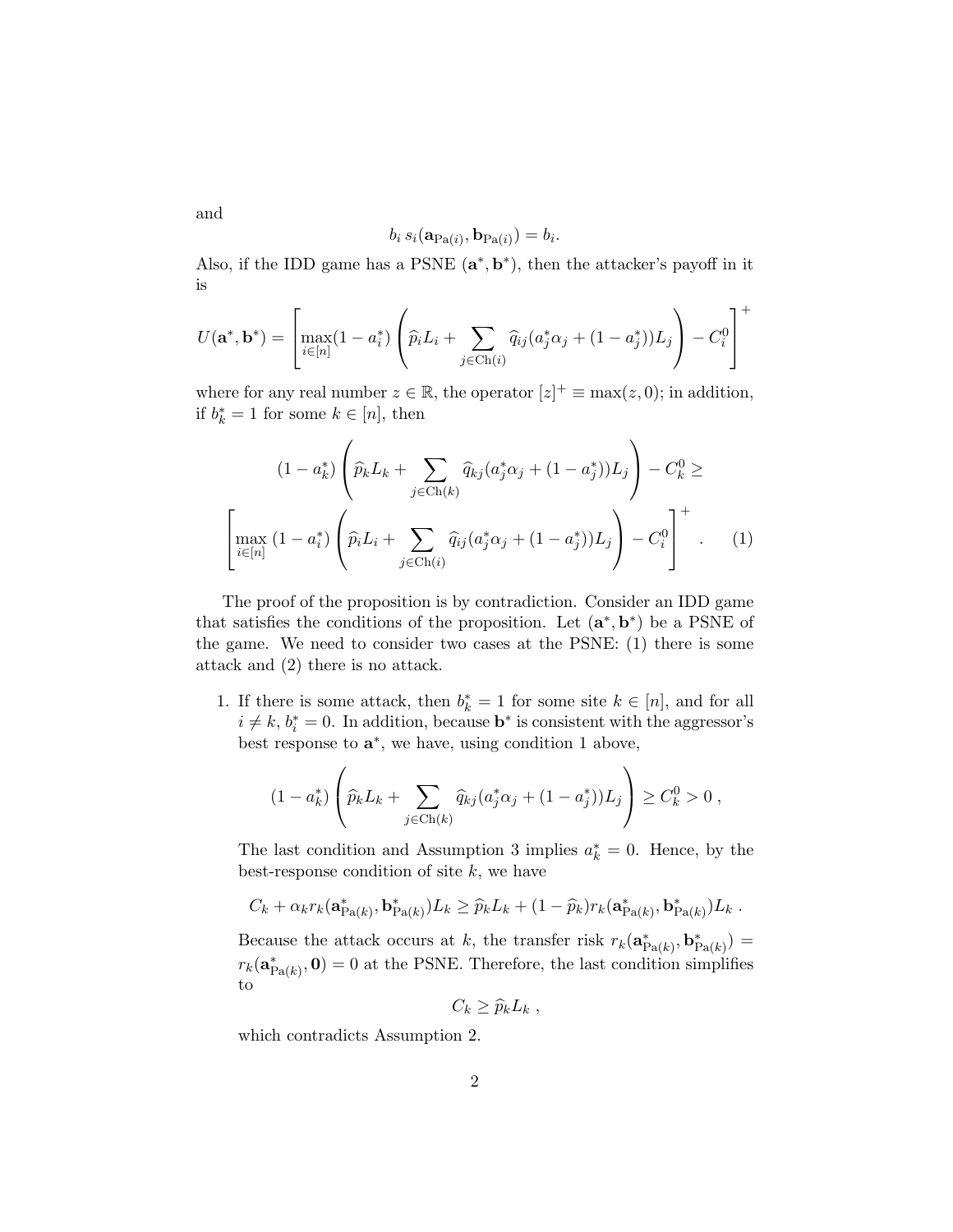and

$$
b_i s_i(\mathbf{a}_{Pa(i)}, \mathbf{b}_{Pa(i)}) = b_i.
$$

Also, if the IDD game has a PSNE  $(a^*, b^*)$ , then the attacker's payoff in it is

$$
U(\mathbf{a}^*, \mathbf{b}^*) = \left[ \max_{i \in [n]} (1 - a_i^*) \left( \widehat{p}_i L_i + \sum_{j \in \text{Ch}(i)} \widehat{q}_{ij} (a_j^* \alpha_j + (1 - a_j^*)) L_j \right) - C_i^0 \right]^+
$$

where for any real number  $z \in \mathbb{R}$ , the operator  $|z|^+ \equiv \max(z, 0)$ ; in addition, if  $b_k^* = 1$  for some  $k \in [n]$ , then

$$
(1 - a_k^*) \left( \hat{p}_k L_k + \sum_{j \in Ch(k)} \hat{q}_{kj} (a_j^* \alpha_j + (1 - a_j^*)) L_j \right) - C_k^0 \ge
$$

$$
\left[ \max_{i \in [n]} (1 - a_i^*) \left( \hat{p}_i L_i + \sum_{j \in Ch(i)} \hat{q}_{ij} (a_j^* \alpha_j + (1 - a_j^*)) L_j \right) - C_i^0 \right]^+.
$$
 (1)

The proof of the proposition is by contradiction. Consider an IDD game that satisfies the conditions of the proposition. Let  $(\mathbf{a}^*, \mathbf{b}^*)$  be a PSNE of the game. We need to consider two cases at the PSNE: (1) there is some attack and (2) there is no attack.

1. If there is some attack, then  $b_k^* = 1$  for some site  $k \in [n]$ , and for all  $i \neq k$ ,  $b_i^* = 0$ . In addition, because **b**<sup>\*</sup> is consistent with the aggressor's best response to  $\mathbf{a}^*$ , we have, using condition 1 above,

$$
(1 - a_k^*) \left( \widehat{p}_k L_k + \sum_{j \in Ch(k)} \widehat{q}_{kj} (a_j^* \alpha_j + (1 - a_j^*)) L_j \right) \ge C_k^0 > 0,
$$

The last condition and Assumption 3 implies  $a_k^* = 0$ . Hence, by the best-response condition of site  $k$ , we have

$$
C_k + \alpha_k r_k(\mathbf{a}_{\text{Pa}(k)}^*, \mathbf{b}_{\text{Pa}(k)}^*)L_k \geq \widehat{p}_k L_k + (1 - \widehat{p}_k) r_k(\mathbf{a}_{\text{Pa}(k)}^*, \mathbf{b}_{\text{Pa}(k)}^*)L_k.
$$

Because the attack occurs at k, the transfer risk  $r_k(\mathbf{a}_{\text{Pa}(k)}^*, \mathbf{b}_{\text{Pa}(k)}^*) =$  $r_k(\mathbf{a}_{\text{Pa}(k)}^*, \mathbf{0}) = 0$  at the PSNE. Therefore, the last condition simplifies to

$$
C_k \geq \widehat{p}_k L_k \ ,
$$

which contradicts Assumption 2.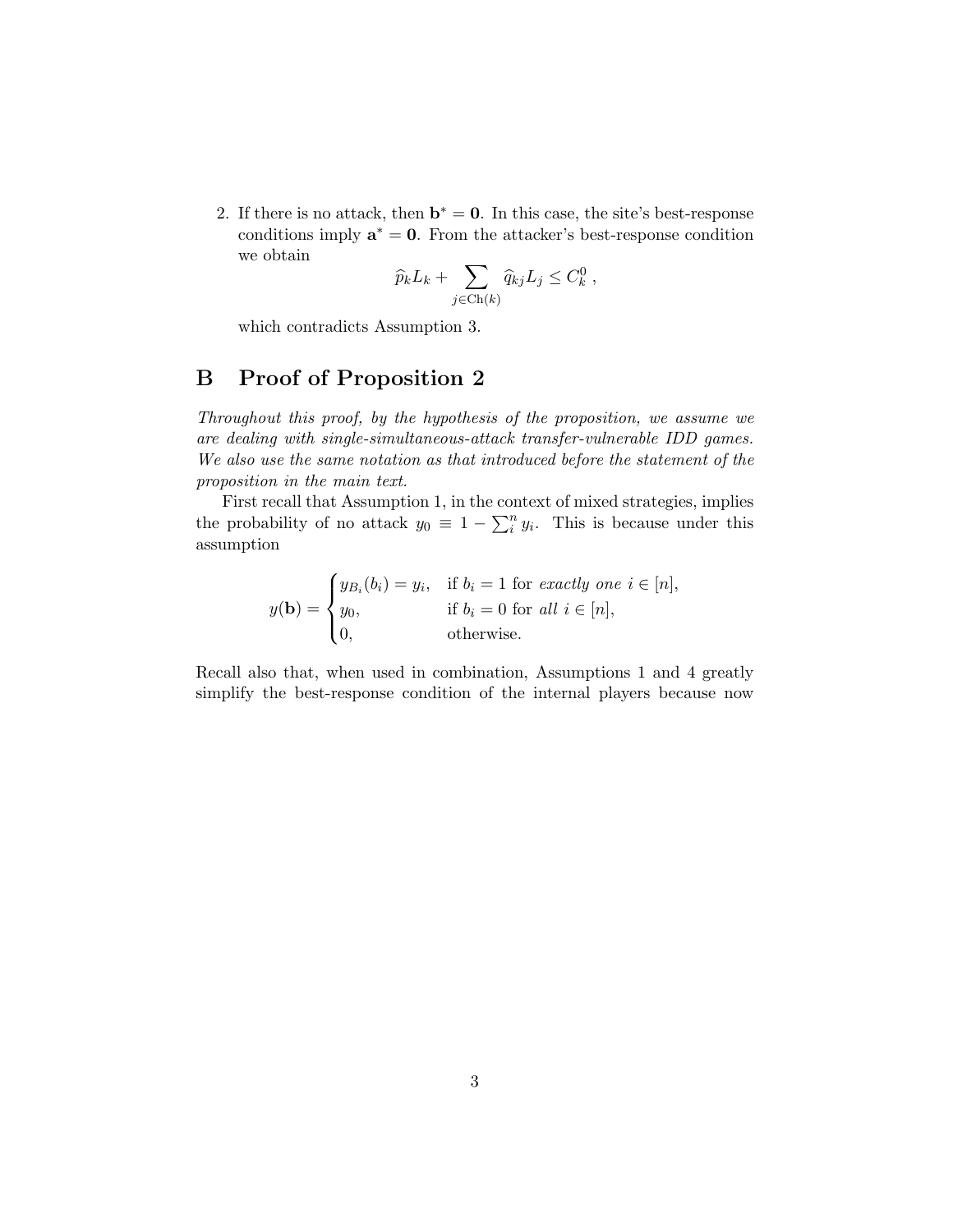2. If there is no attack, then  $\mathbf{b}^* = \mathbf{0}$ . In this case, the site's best-response conditions imply  $\mathbf{a}^* = \mathbf{0}$ . From the attacker's best-response condition we obtain

$$
\widehat{p}_k L_k + \sum_{j \in Ch(k)} \widehat{q}_{kj} L_j \leq C_k^0,
$$

which contradicts Assumption 3.

## B Proof of Proposition 2

Throughout this proof, by the hypothesis of the proposition, we assume we are dealing with single-simultaneous-attack transfer-vulnerable IDD games. We also use the same notation as that introduced before the statement of the proposition in the main text.

First recall that Assumption 1, in the context of mixed strategies, implies the probability of no attack  $y_0 \equiv 1 - \sum_i^n y_i$ . This is because under this assumption

$$
y(\mathbf{b}) = \begin{cases} y_{B_i}(b_i) = y_i, & \text{if } b_i = 1 \text{ for exactly one } i \in [n], \\ y_0, & \text{if } b_i = 0 \text{ for all } i \in [n], \\ 0, & \text{otherwise.} \end{cases}
$$

Recall also that, when used in combination, Assumptions 1 and 4 greatly simplify the best-response condition of the internal players because now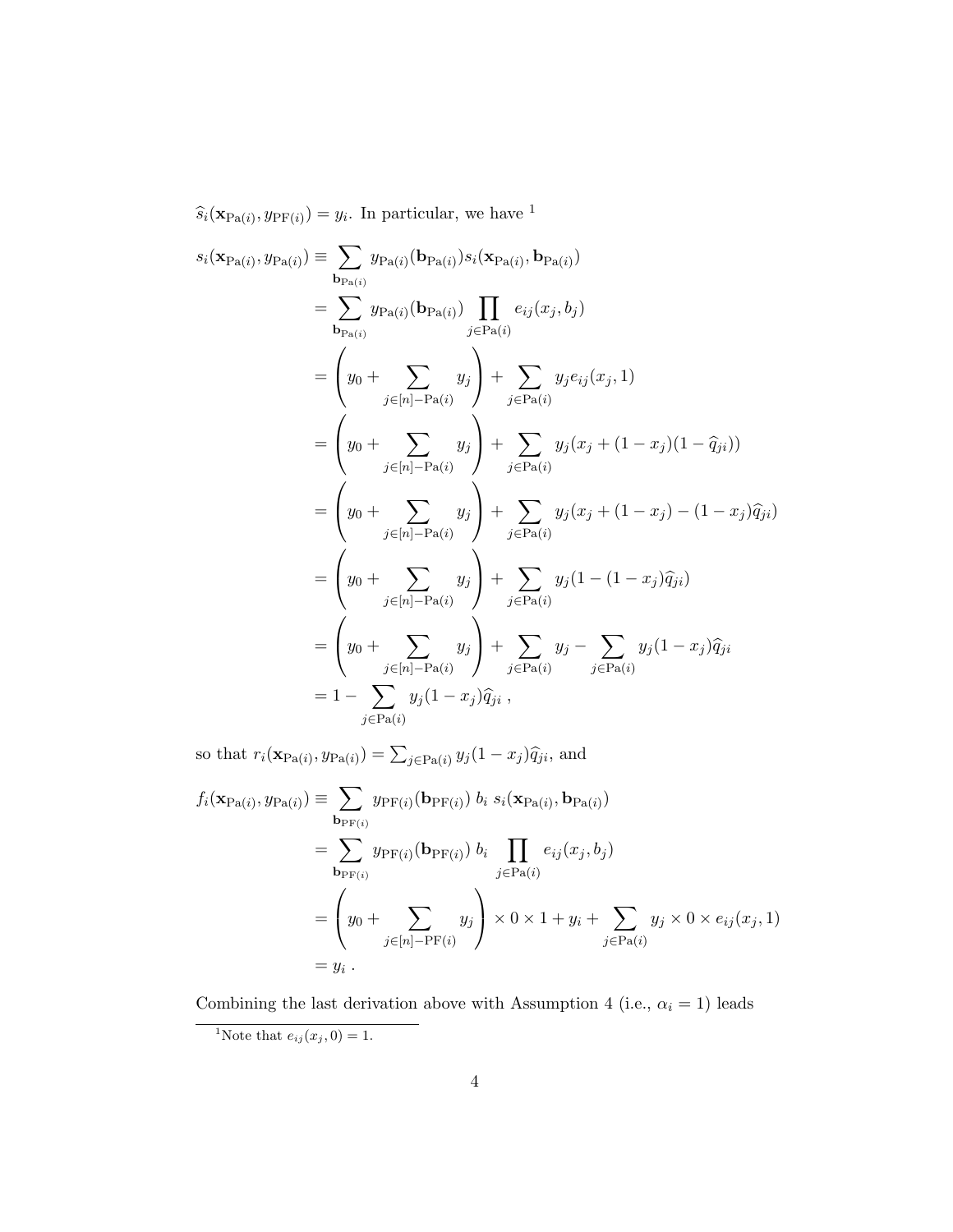$\widehat{s}_i(\mathbf{x}_{\text{Pa}(i)}, y_{\text{PF}(i)}) = y_i$ . In particular, we have <sup>1</sup>

$$
s_i(\mathbf{x}_{Pa(i)}, y_{Pa(i)}) \equiv \sum_{\mathbf{b}_{Pa(i)}} y_{Pa(i)}(\mathbf{b}_{Pa(i)}) s_i(\mathbf{x}_{Pa(i)}, \mathbf{b}_{Pa(i)})
$$
  
\n
$$
= \sum_{\mathbf{b}_{Pa(i)}} y_{Pa(i)}(\mathbf{b}_{Pa(i)}) \prod_{j \in Pa(i)} e_{ij}(x_j, b_j)
$$
  
\n
$$
= \left(y_0 + \sum_{j \in [n] - Pa(i)} y_j\right) + \sum_{j \in Pa(i)} y_j e_{ij}(x_j, 1)
$$
  
\n
$$
= \left(y_0 + \sum_{j \in [n] - Pa(i)} y_j\right) + \sum_{j \in Pa(i)} y_j(x_j + (1 - x_j)(1 - \hat{q}_{ji}))
$$
  
\n
$$
= \left(y_0 + \sum_{j \in [n] - Pa(i)} y_j\right) + \sum_{j \in Pa(i)} y_j(x_j + (1 - x_j) - (1 - x_j)\hat{q}_{ji})
$$
  
\n
$$
= \left(y_0 + \sum_{j \in [n] - Pa(i)} y_j\right) + \sum_{j \in Pa(i)} y_j(1 - (1 - x_j)\hat{q}_{ji})
$$
  
\n
$$
= \left(y_0 + \sum_{j \in [n] - Pa(i)} y_j\right) + \sum_{j \in Pa(i)} y_j - \sum_{j \in Pa(i)} y_j(1 - x_j)\hat{q}_{ji}
$$
  
\n
$$
= 1 - \sum_{j \in Pa(i)} y_j(1 - x_j)\hat{q}_{ji},
$$

so that  $r_i(\mathbf{x}_{Pa(i)}, y_{Pa(i)}) = \sum_{j \in Pa(i)} y_j(1 - x_j) \hat{q}_{ji}$ , and

$$
f_i(\mathbf{x}_{Pa(i)}, y_{Pa(i)}) \equiv \sum_{\mathbf{b}_{PF(i)}} y_{PF(i)}(\mathbf{b}_{PF(i)}) b_i s_i(\mathbf{x}_{Pa(i)}, \mathbf{b}_{Pa(i)})
$$
  
\n
$$
= \sum_{\mathbf{b}_{PF(i)}} y_{PF(i)}(\mathbf{b}_{PF(i)}) b_i \prod_{j \in Pa(i)} e_{ij}(x_j, b_j)
$$
  
\n
$$
= \left(y_0 + \sum_{j \in [n] - PF(i)} y_j\right) \times 0 \times 1 + y_i + \sum_{j \in Pa(i)} y_j \times 0 \times e_{ij}(x_j, 1)
$$
  
\n
$$
= y_i.
$$

Combining the last derivation above with Assumption 4 (i.e.,  $\alpha_i = 1)$  leads <sup>1</sup>Note that  $e_{ij}(x_j, 0) = 1$ .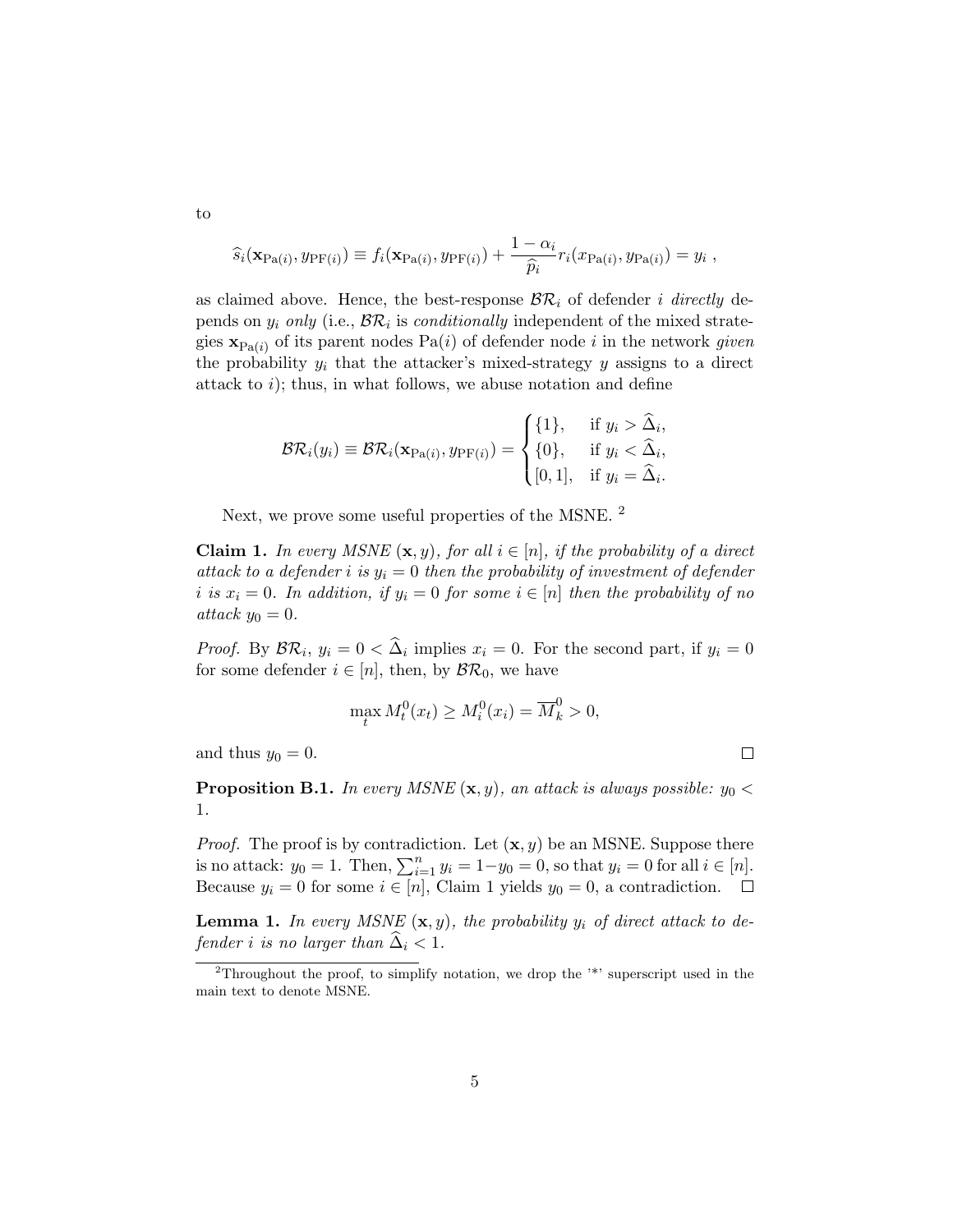$$
\widehat{s}_i(\mathbf{x}_{\text{Pa}(i)}, y_{\text{PF}(i)}) \equiv f_i(\mathbf{x}_{\text{Pa}(i)}, y_{\text{PF}(i)}) + \frac{1 - \alpha_i}{\widehat{p}_i} r_i(x_{\text{Pa}(i)}, y_{\text{Pa}(i)}) = y_i,
$$

as claimed above. Hence, the best-response  $\mathcal{BR}_i$  of defender i directly depends on  $y_i$  only (i.e.,  $\mathcal{BR}_i$  is *conditionally* independent of the mixed strategies  $\mathbf{x}_{Pa(i)}$  of its parent nodes  $Pa(i)$  of defender node i in the network given the probability  $y_i$  that the attacker's mixed-strategy y assigns to a direct attack to  $i$ ); thus, in what follows, we abuse notation and define

$$
\mathcal{BR}_i(y_i) \equiv \mathcal{BR}_i(\mathbf{x}_{\text{Pa}(i)}, y_{\text{PF}(i)}) = \begin{cases} \{1\}, & \text{if } y_i > \hat{\Delta}_i, \\ \{0\}, & \text{if } y_i < \hat{\Delta}_i, \\ [0, 1], & \text{if } y_i = \hat{\Delta}_i. \end{cases}
$$

Next, we prove some useful properties of the MSNE. <sup>2</sup>

**Claim 1.** In every MSNE  $(x, y)$ , for all  $i \in [n]$ , if the probability of a direct attack to a defender i is  $y_i = 0$  then the probability of investment of defender i is  $x_i = 0$ . In addition, if  $y_i = 0$  for some  $i \in [n]$  then the probability of no attack  $y_0 = 0$ .

*Proof.* By  $\mathcal{BR}_i$ ,  $y_i = 0 < \Delta_i$  implies  $x_i = 0$ . For the second part, if  $y_i = 0$ for some defender  $i \in [n]$ , then, by  $\mathcal{BR}_0$ , we have

$$
\max_t M_t^0(x_t) \ge M_t^0(x_i) = \overline{M}_k^0 > 0,
$$

 $\Box$ 

and thus  $y_0 = 0$ .

**Proposition B.1.** In every MSNE  $(\mathbf{x}, y)$ , an attack is always possible:  $y_0 <$ 1.

*Proof.* The proof is by contradiction. Let  $(\mathbf{x}, y)$  be an MSNE. Suppose there is no attack:  $y_0 = 1$ . Then,  $\sum_{i=1}^n y_i = 1 - y_0 = 0$ , so that  $y_i = 0$  for all  $i \in [n]$ . Because  $y_i = 0$  for some  $i \in [n]$ , Claim 1 yields  $y_0 = 0$ , a contradiction.  $\Box$ 

**Lemma 1.** In every MSNE  $(x, y)$ , the probability  $y_i$  of direct attack to defender i is no larger than  $\hat{\Delta}_i < 1$ .

5

to

<sup>2</sup>Throughout the proof, to simplify notation, we drop the '\*' superscript used in the main text to denote MSNE.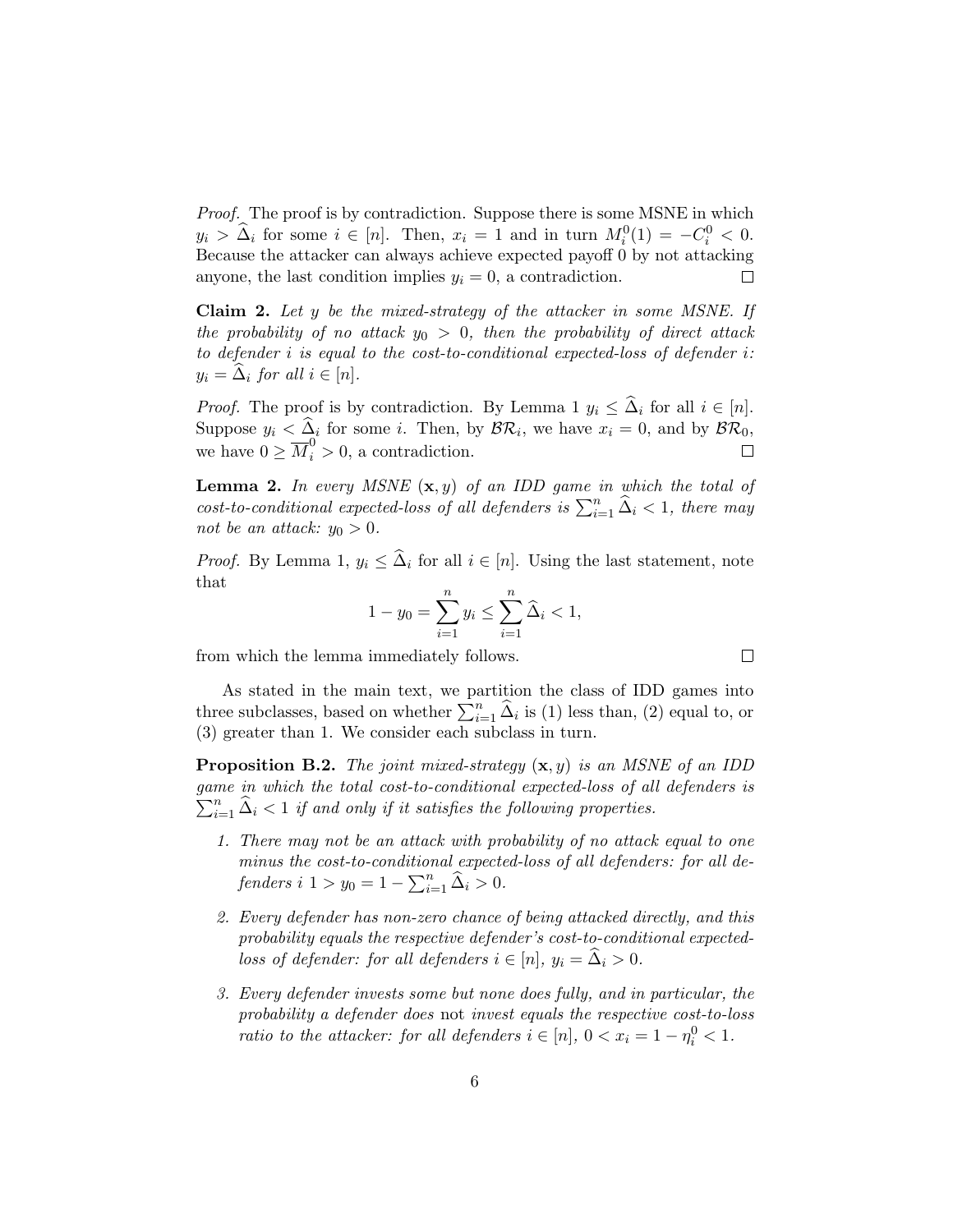Proof. The proof is by contradiction. Suppose there is some MSNE in which  $y_i > \hat{\Delta}_i$  for some  $i \in [n]$ . Then,  $x_i = 1$  and in turn  $M_i^0(1) = -C_i^0 < 0$ . Because the attacker can always achieve expected payoff 0 by not attacking anyone, the last condition implies  $y_i = 0$ , a contradiction. П

Claim 2. Let y be the mixed-strategy of the attacker in some MSNE. If the probability of no attack  $y_0 > 0$ , then the probability of direct attack to defender i is equal to the cost-to-conditional expected-loss of defender i:  $y_i = \Delta_i$  for all  $i \in [n]$ .

*Proof.* The proof is by contradiction. By Lemma 1  $y_i \leq \hat{\Delta}_i$  for all  $i \in [n]$ . Suppose  $y_i \leq \Delta_i$  for some i. Then, by  $\mathcal{BR}_i$ , we have  $x_i = 0$ , and by  $\mathcal{BR}_0$ , we have  $0 \geq \overline{M}_i^0 > 0$ , a contradiction.  $\Box$ 

**Lemma 2.** In every MSNE  $(x, y)$  of an IDD game in which the total of cost-to-conditional expected-loss of all defenders is  $\sum_{i=1}^{n} \hat{\Delta}_i < 1$ , there may not be an attack:  $y_0 > 0$ .

*Proof.* By Lemma 1,  $y_i \leq \hat{\Delta}_i$  for all  $i \in [n]$ . Using the last statement, note that

$$
1 - y_0 = \sum_{i=1}^n y_i \le \sum_{i=1}^n \widehat{\Delta}_i < 1,
$$

 $\Box$ 

from which the lemma immediately follows.

As stated in the main text, we partition the class of IDD games into three subclasses, based on whether  $\sum_{i=1}^{n} \hat{\Delta}_i$  is (1) less than, (2) equal to, or (3) greater than 1. We consider each subclass in turn.

**Proposition B.2.** The joint mixed-strategy  $(x, y)$  is an MSNE of an IDD game in which the total cost-to-conditional expected-loss of all defenders is  $\sum_{i=1}^{n} \hat{\Delta}_i$  < 1 if and only if it satisfies the following properties.

- 1. There may not be an attack with probability of no attack equal to one minus the cost-to-conditional expected-loss of all defenders: for all defenders  $i \ 1 > y_0 = 1 - \sum_{i=1}^n \hat{\Delta}_i > 0.$
- 2. Every defender has non-zero chance of being attacked directly, and this probability equals the respective defender's cost-to-conditional expectedloss of defender: for all defenders  $i \in [n], y_i = \hat{\Delta}_i > 0$ .
- 3. Every defender invests some but none does fully, and in particular, the probability a defender does not invest equals the respective cost-to-loss ratio to the attacker: for all defenders  $i \in [n]$ ,  $0 < x_i = 1 - \eta_i^0 < 1$ .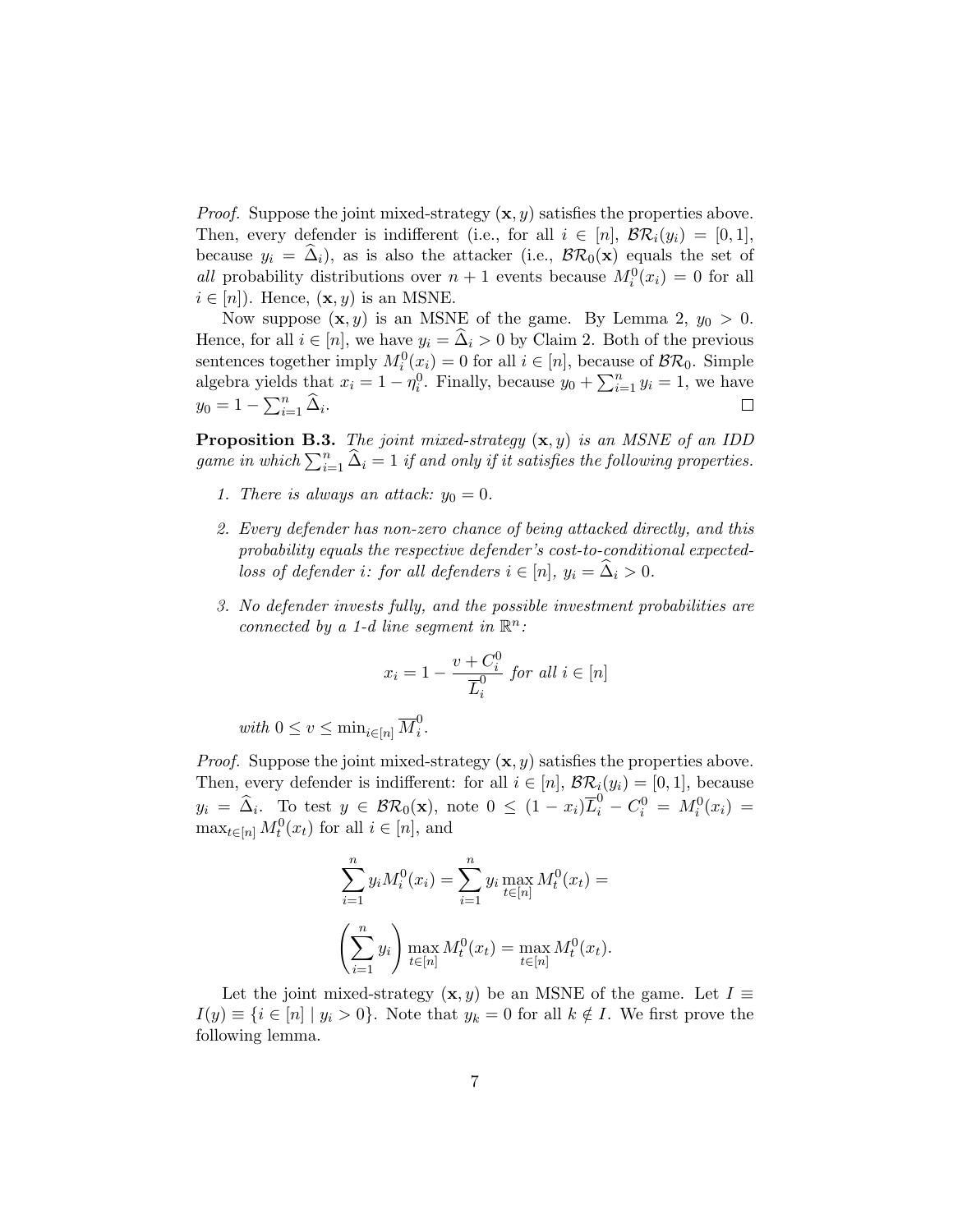*Proof.* Suppose the joint mixed-strategy  $(x, y)$  satisfies the properties above. Then, every defender is indifferent (i.e., for all  $i \in [n]$ ,  $\mathcal{BR}_i(y_i) = [0,1]$ , because  $y_i = \hat{\Delta}_i$ , as is also the attacker (i.e.,  $\mathcal{BR}_0(\mathbf{x})$  equals the set of all probability distributions over  $n+1$  events because  $M_i^0(x_i) = 0$  for all  $i \in [n]$ . Hence,  $(\mathbf{x}, y)$  is an MSNE.

Now suppose  $(x, y)$  is an MSNE of the game. By Lemma 2,  $y_0 > 0$ . Hence, for all  $i \in [n]$ , we have  $y_i = \Delta_i > 0$  by Claim 2. Both of the previous sentences together imply  $M_i^0(x_i) = 0$  for all  $i \in [n]$ , because of  $\mathcal{BR}_0$ . Simple algebra yields that  $x_i = 1 - \eta_i^0$ . Finally, because  $y_0 + \sum_{i=1}^n y_i = 1$ , we have  $y_0 = 1 - \sum_{i=1}^n \widehat{\Delta}_i.$  $\Box$ 

**Proposition B.3.** The joint mixed-strategy  $(x, y)$  is an MSNE of an IDD game in which  $\sum_{i=1}^{n} \widehat{\Delta}_i = 1$  if and only if it satisfies the following properties.

- 1. There is always an attack:  $y_0 = 0$ .
- 2. Every defender has non-zero chance of being attacked directly, and this probability equals the respective defender's cost-to-conditional expectedloss of defender i: for all defenders  $i \in [n], y_i = \hat{\Delta}_i > 0$ .
- 3. No defender invests fully, and the possible investment probabilities are connected by a 1-d line segment in  $\mathbb{R}^n$ :

$$
x_i = 1 - \frac{v + C_i^0}{\overline{L}_i^0} \text{ for all } i \in [n]
$$

with  $0 \le v \le \min_{i \in [n]} \overline{M}_i^0$  $\frac{0}{i}$ .

*Proof.* Suppose the joint mixed-strategy  $(\mathbf{x}, y)$  satisfies the properties above. Then, every defender is indifferent: for all  $i \in [n]$ ,  $\mathcal{BR}_i(y_i) = [0, 1]$ , because  $y_i = \hat{\Delta}_i$ . To test  $y \in \mathcal{BR}_0(\mathbf{x})$ , note  $0 \leq (1 - x_i)\overline{L}_i^0 - C_i^0 = M_i^0(x_i) =$  $\max_{t \in [n]} M_t^0(x_t)$  for all  $i \in [n]$ , and

$$
\sum_{i=1}^{n} y_i M_i^0(x_i) = \sum_{i=1}^{n} y_i \max_{t \in [n]} M_t^0(x_t) =
$$

$$
\left(\sum_{i=1}^{n} y_i\right) \max_{t \in [n]} M_t^0(x_t) = \max_{t \in [n]} M_t^0(x_t).
$$

Let the joint mixed-strategy  $(x, y)$  be an MSNE of the game. Let  $I \equiv$  $I(y) \equiv \{i \in [n] \mid y_i > 0\}$ . Note that  $y_k = 0$  for all  $k \notin I$ . We first prove the following lemma.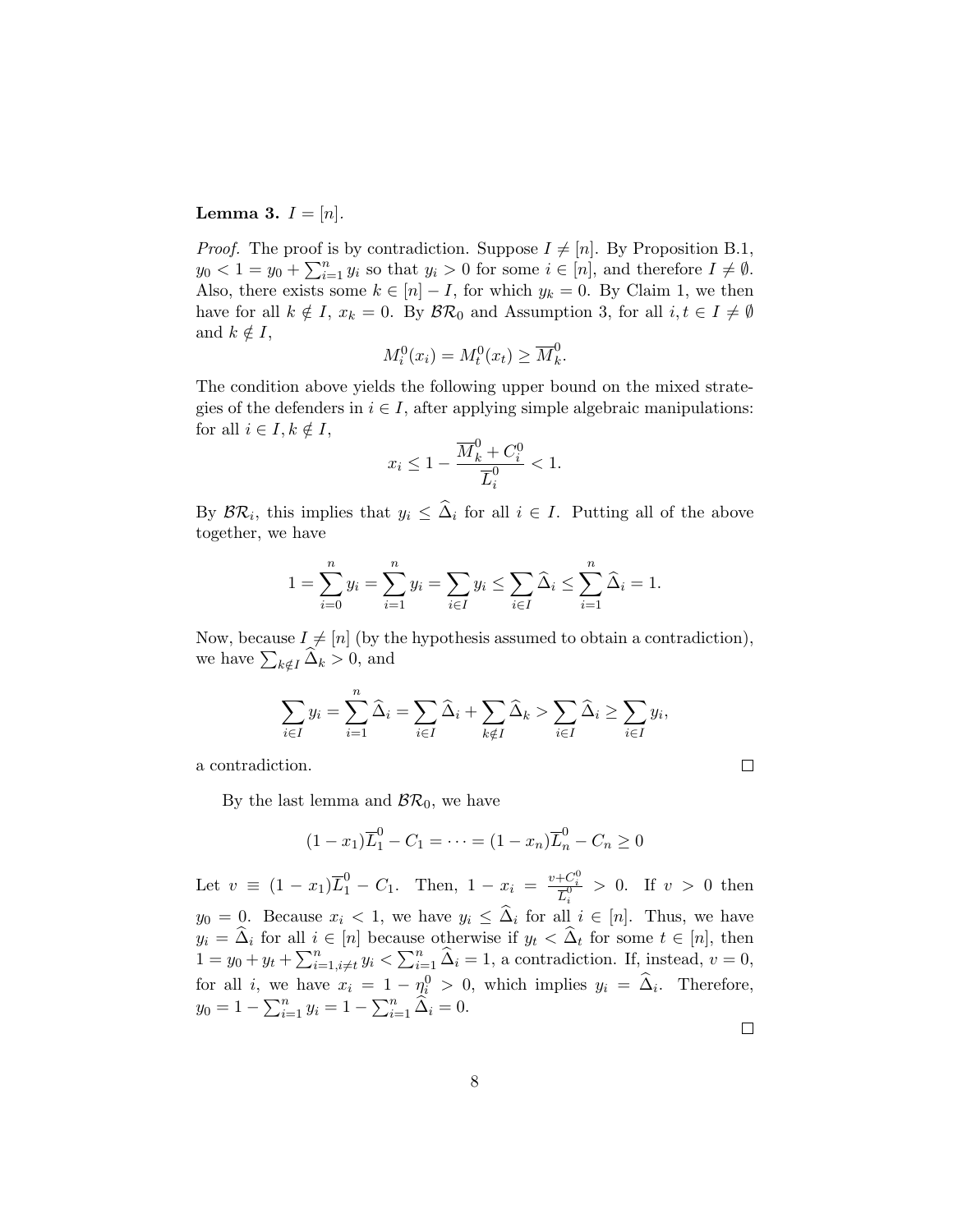#### **Lemma 3.**  $I = [n]$ .

*Proof.* The proof is by contradiction. Suppose  $I \neq [n]$ . By Proposition B.1,  $y_0 < 1 = y_0 + \sum_{i=1}^n y_i$  so that  $y_i > 0$  for some  $i \in [n]$ , and therefore  $I \neq \emptyset$ . Also, there exists some  $k \in [n] - I$ , for which  $y_k = 0$ . By Claim 1, we then have for all  $k \notin I$ ,  $x_k = 0$ . By  $\mathcal{BR}_0$  and Assumption 3, for all  $i, t \in I \neq \emptyset$ and  $k \notin I$ ,

$$
M_i^0(x_i) = M_t^0(x_t) \ge \overline{M}_k^0.
$$

The condition above yields the following upper bound on the mixed strategies of the defenders in  $i \in I$ , after applying simple algebraic manipulations: for all  $i \in I, k \notin I$ ,

$$
x_i \le 1 - \frac{\overline{M}_k^0 + C_i^0}{\overline{L}_i^0} < 1.
$$

By  $\mathcal{BR}_i$ , this implies that  $y_i \leq \Delta_i$  for all  $i \in I$ . Putting all of the above together, we have

$$
1 = \sum_{i=0}^{n} y_i = \sum_{i=1}^{n} y_i = \sum_{i \in I} y_i \le \sum_{i \in I} \hat{\Delta}_i \le \sum_{i=1}^{n} \hat{\Delta}_i = 1.
$$

Now, because  $I \neq [n]$  (by the hypothesis assumed to obtain a contradiction), we have  $\sum_{k \notin I} \Delta_k > 0$ , and

$$
\sum_{i \in I} y_i = \sum_{i=1}^n \widehat{\Delta}_i = \sum_{i \in I} \widehat{\Delta}_i + \sum_{k \notin I} \widehat{\Delta}_k > \sum_{i \in I} \widehat{\Delta}_i \ge \sum_{i \in I} y_i,
$$

a contradiction.

By the last lemma and  $\mathcal{BR}_0$ , we have

$$
(1 - x_1)\overline{L}_1^0 - C_1 = \dots = (1 - x_n)\overline{L}_n^0 - C_n \ge 0
$$

Let  $v \equiv (1-x_1)\overline{L}_1^0 - C_1$ . Then,  $1-x_i = \frac{v + C_i^0}{\overline{L}_1^0}$  $\frac{\partial^+ \mathbf{C}_i}{\partial \overline{\mathbf{L}}_i^0} > 0$ . If  $v > 0$  then  $y_0 = 0$ . Because  $x_i < 1$ , we have  $y_i \leq \Delta_i$  for all  $i \in [n]$ . Thus, we have  $y_i = \Delta_i$  for all  $i \in [n]$  because otherwise if  $y_t < \Delta_t$  for some  $t \in [n]$ , then  $1 = y_0 + y_t + \sum_{i=1, i \neq t}^n y_i < \sum_{i=1}^n \hat{\Delta}_i = 1$ , a contradiction. If, instead,  $v = 0$ , for all i, we have  $x_i = 1 - \eta_i^0 > 0$ , which implies  $y_i = \hat{\Delta}_i$ . Therefore,  $y_0 = 1 - \sum_{i=1}^n y_i = 1 - \sum_{i=1}^n \widehat{\Delta}_i = 0.$ 

 $\Box$ 

 $\Box$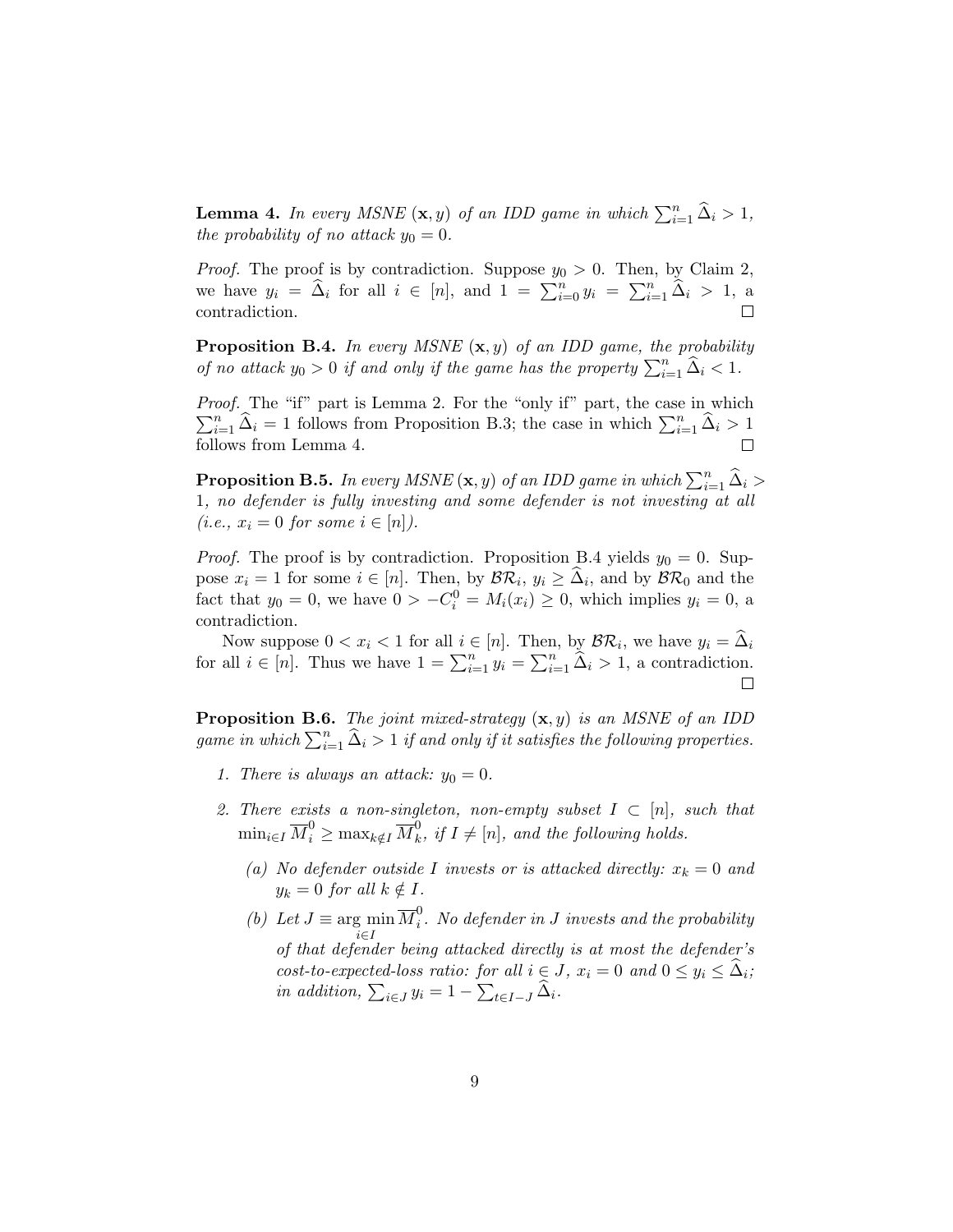**Lemma 4.** In every MSNE  $(\mathbf{x}, y)$  of an IDD game in which  $\sum_{i=1}^{n} \hat{\Delta}_i > 1$ , the probability of no attack  $y_0 = 0$ .

*Proof.* The proof is by contradiction. Suppose  $y_0 > 0$ . Then, by Claim 2, we have  $y_i = \hat{\Delta}_i$  for all  $i \in [n]$ , and  $1 = \sum_{i=0}^n y_i = \sum_{i=1}^n \hat{\Delta}_i > 1$ , and contradiction.

**Proposition B.4.** In every MSNE  $(x, y)$  of an IDD game, the probability of no attack  $y_0 > 0$  if and only if the game has the property  $\sum_{i=1}^n \hat{\Delta}_i < 1$ .

Proof. The "if" part is Lemma 2. For the "only if" part, the case in which  $\sum_{i=1}^{n} \hat{\Delta}_i = 1$  follows from Proposition B.3; the case in which  $\sum_{i=1}^{n} \hat{\Delta}_i > 1$ follows from Lemma 4.

**Proposition B.5.** In every MSNE  $(\mathbf{x}, y)$  of an IDD game in which  $\sum_{i=1}^{n} \hat{\Delta}_i$ 1, no defender is fully investing and some defender is not investing at all  $(i.e., x_i = 0 \text{ for some } i \in [n]).$ 

*Proof.* The proof is by contradiction. Proposition B.4 yields  $y_0 = 0$ . Suppose  $x_i = 1$  for some  $i \in [n]$ . Then, by  $\mathcal{BR}_i, y_i \geq \Delta_i$ , and by  $\mathcal{BR}_0$  and the fact that  $y_0 = 0$ , we have  $0 > -C_i^0 = M_i(x_i) \ge 0$ , which implies  $y_i = 0$ , a contradiction.

Now suppose  $0 < x_i < 1$  for all  $i \in [n]$ . Then, by  $\mathcal{BR}_i$ , we have  $y_i = \Delta_i$ for all  $i \in [n]$ . Thus we have  $1 = \sum_{i=1}^{n} y_i = \sum_{i=1}^{n} \hat{\Delta}_i > 1$ , a contradiction.

**Proposition B.6.** The joint mixed-strategy  $(\mathbf{x}, y)$  is an MSNE of an IDD game in which  $\sum_{i=1}^n \widehat{\Delta}_i > 1$  if and only if it satisfies the following properties.

- 1. There is always an attack:  $y_0 = 0$ .
- 2. There exists a non-singleton, non-empty subset  $I \subset [n]$ , such that  $\min_{i \in I} \overline{M}_i^0 \geq \max_{k \notin I} \overline{M}_k^0$  $\mu_k^0$ , if  $I \neq [n]$ , and the following holds.
	- (a) No defender outside I invests or is attacked directly:  $x_k = 0$  and  $y_k = 0$  for all  $k \notin I$ .
	- (b) Let  $J \equiv \arg \min$ i∈I  $\overline{M}_i^0$  $\sum_{i}^{0}$ . No defender in J invests and the probability of that defender being attacked directly is at most the defender's cost-to-expected-loss ratio: for all  $i \in J$ ,  $x_i = 0$  and  $0 \le y_i \le \tilde{\Delta}_i$ ; in addition,  $\sum_{i \in J} y_i = 1 - \sum_{t \in I-J} \Delta_i$ .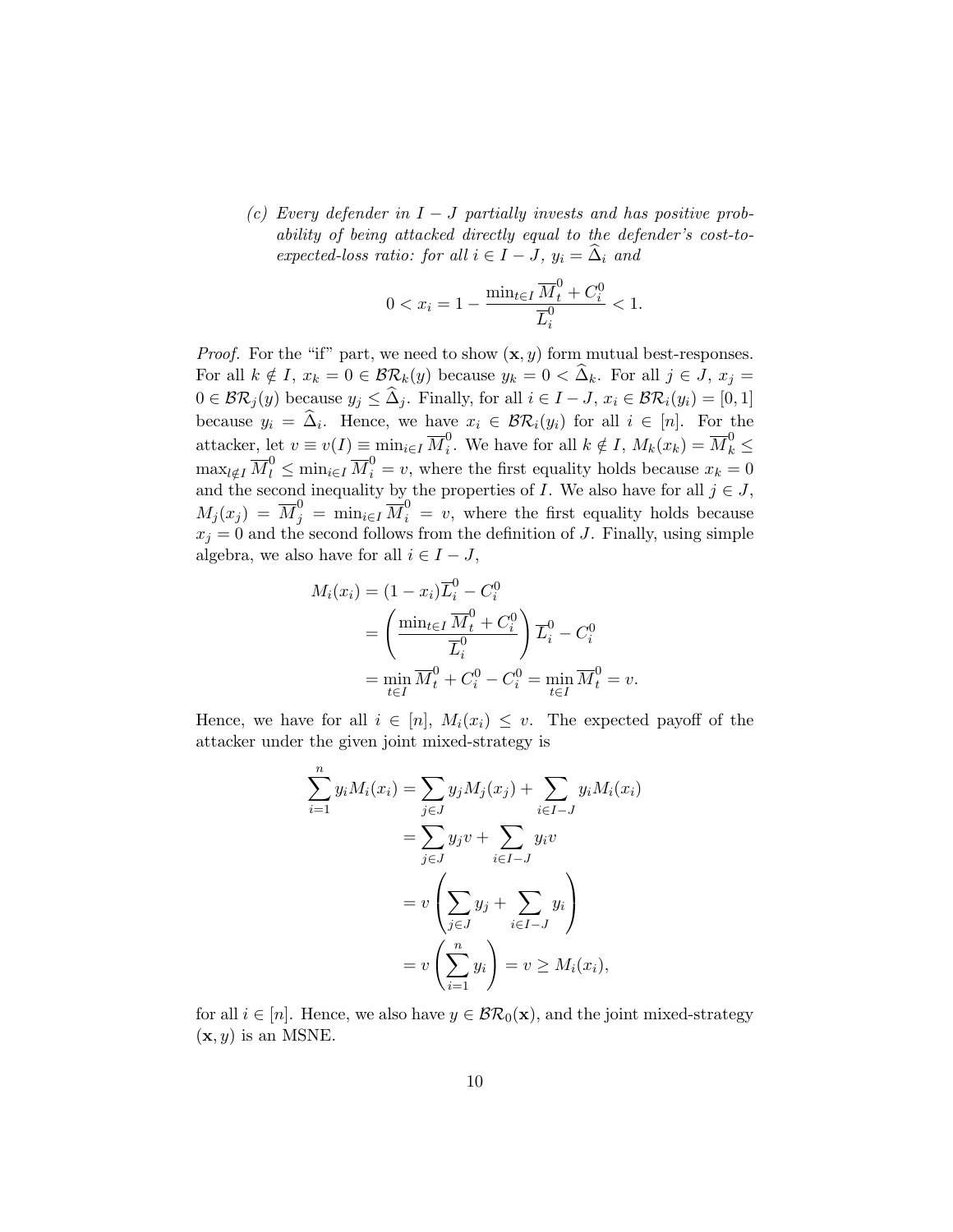(c) Every defender in  $I - J$  partially invests and has positive probability of being attacked directly equal to the defender's cost-toexpected-loss ratio: for all  $i \in I - J$ ,  $y_i = \hat{\Delta}_i$  and

$$
0 < x_i = 1 - \frac{\min_{t \in I} \overline{M}_t^0 + C_i^0}{\overline{L}_i^0} < 1.
$$

*Proof.* For the "if" part, we need to show  $(\mathbf{x}, y)$  form mutual best-responses. For all  $k \notin I$ ,  $x_k = 0 \in \mathcal{BR}_k(y)$  because  $y_k = 0 \leq \hat{\Delta}_k$ . For all  $j \in J$ ,  $x_j =$  $0 \in \mathcal{BR}_j(y)$  because  $y_j \leq \widehat{\Delta}_j$ . Finally, for all  $i \in I - J$ ,  $x_i \in \mathcal{BR}_i(y_i) = [0, 1]$ because  $y_i = \Delta_i$ . Hence, we have  $x_i \in \mathcal{BR}_i(y_i)$  for all  $i \in [n]$ . For the attacker, let  $v \equiv v(I) \equiv \min_{i \in I} \overline{M}_i^0$ <sup>0</sup>. We have for all  $k \notin I$ ,  $M_k(x_k) = \overline{M}_k^0 \leq$  $\max_{l \notin I} \overline{M}_l^0 \le \min_{i \in I} \overline{M}_i^0 = v$ , where the first equality holds because  $x_k = 0$ and the second inequality by the properties of I. We also have for all  $j \in J$ ,  $M_j(x_j) = \overline{M}_j^0 = \min_{i \in I} \overline{M}_i^0 = v$ , where the first equality holds because  $x_j = 0$  and the second follows from the definition of J. Finally, using simple algebra, we also have for all  $i \in I - J$ ,

$$
M_i(x_i) = (1 - x_i)\overline{L}_i^0 - C_i^0
$$
  
=  $\left(\frac{\min_{t \in I} \overline{M}_t^0 + C_i^0}{\overline{L}_i^0}\right) \overline{L}_i^0 - C_i^0$   
=  $\min_{t \in I} \overline{M}_t^0 + C_i^0 - C_i^0 = \min_{t \in I} \overline{M}_t^0 = v.$ 

Hence, we have for all  $i \in [n]$ ,  $M_i(x_i) \leq v$ . The expected payoff of the attacker under the given joint mixed-strategy is

$$
\sum_{i=1}^{n} y_i M_i(x_i) = \sum_{j \in J} y_j M_j(x_j) + \sum_{i \in I-J} y_i M_i(x_i)
$$

$$
= \sum_{j \in J} y_j v + \sum_{i \in I-J} y_i v
$$

$$
= v \left( \sum_{j \in J} y_j + \sum_{i \in I-J} y_i \right)
$$

$$
= v \left( \sum_{i=1}^{n} y_i \right) = v \ge M_i(x_i),
$$

for all  $i \in [n]$ . Hence, we also have  $y \in \mathcal{BR}_0(\mathbf{x})$ , and the joint mixed-strategy  $(\mathbf{x}, y)$  is an MSNE.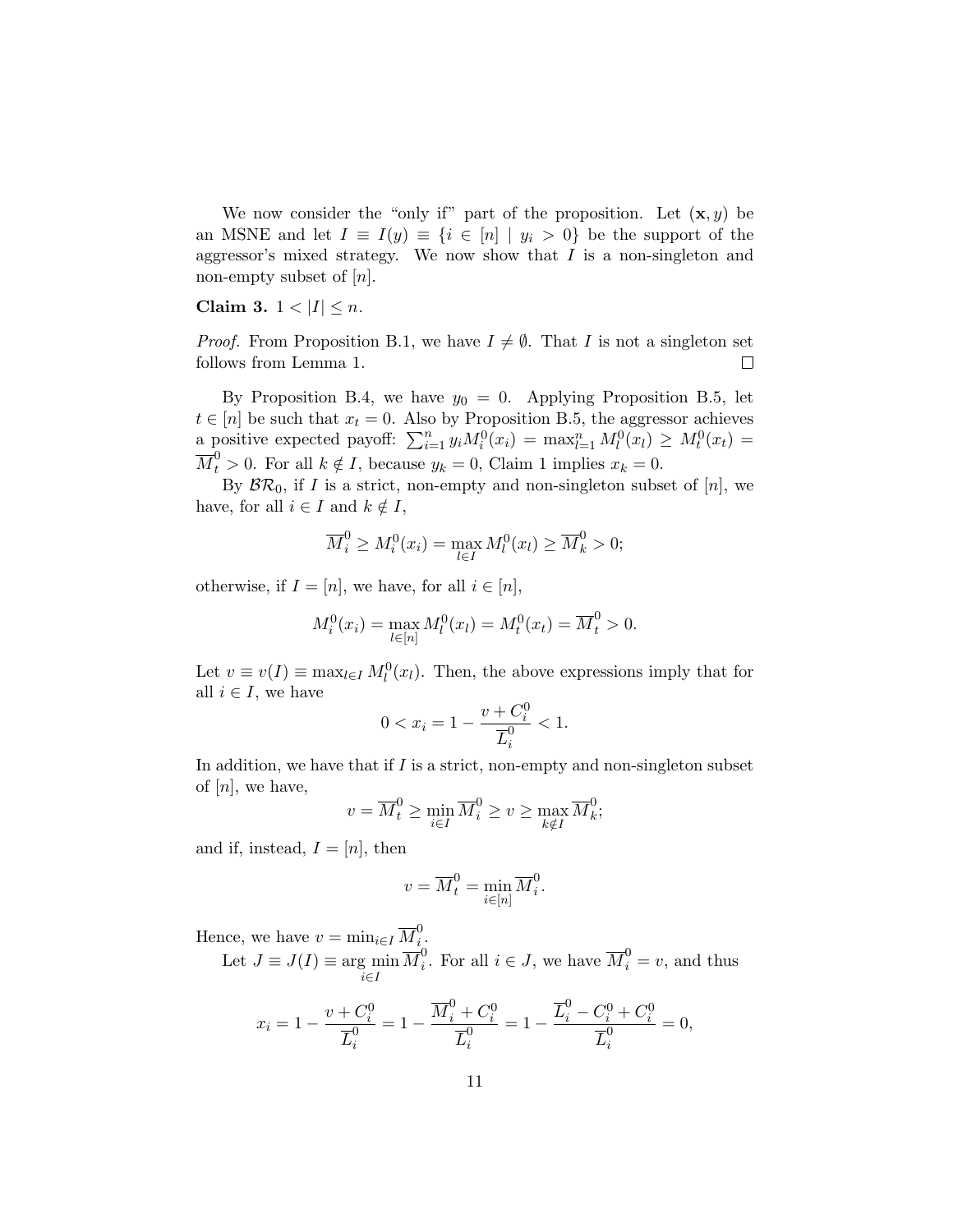We now consider the "only if" part of the proposition. Let  $(\mathbf{x}, y)$  be an MSNE and let  $I \equiv I(y) \equiv \{i \in [n] \mid y_i > 0\}$  be the support of the aggressor's mixed strategy. We now show that  $I$  is a non-singleton and non-empty subset of  $[n]$ .

#### Claim 3.  $1 < |I| \le n$ .

*Proof.* From Proposition B.1, we have  $I \neq \emptyset$ . That I is not a singleton set  $\Box$ follows from Lemma 1.

By Proposition B.4, we have  $y_0 = 0$ . Applying Proposition B.5, let  $t \in [n]$  be such that  $x_t = 0$ . Also by Proposition B.5, the aggressor achieves a positive expected payoff:  $\sum_{i=1}^n y_i M_i^0(x_i) = \max_{l=1}^n M_l^0(x_l) \geq M_t^0(x_t) =$  $\overline{M}_t^0 > 0$ . For all  $k \notin I$ , because  $y_k = 0$ , Claim 1 implies  $x_k = 0$ .

By  $\mathcal{BR}_0$ , if I is a strict, non-empty and non-singleton subset of [n], we have, for all  $i \in I$  and  $k \notin I$ ,

$$
\overline{M}_i^0 \ge M_i^0(x_i) = \max_{l \in I} M_l^0(x_l) \ge \overline{M}_k^0 > 0;
$$

otherwise, if  $I = [n]$ , we have, for all  $i \in [n]$ ,

$$
M_i^0(x_i) = \max_{l \in [n]} M_l^0(x_l) = M_t^0(x_t) = \overline{M}_t^0 > 0.
$$

Let  $v \equiv v(I) \equiv \max_{l \in I} M_l^0(x_l)$ . Then, the above expressions imply that for all  $i \in I$ , we have

$$
0 < x_i = 1 - \frac{v + C_i^0}{\overline{L}_i^0} < 1.
$$

In addition, we have that if  $I$  is a strict, non-empty and non-singleton subset of  $[n]$ , we have,

$$
v = \overline{M}_t^0 \ge \min_{i \in I} \overline{M}_i^0 \ge v \ge \max_{k \notin I} \overline{M}_k^0;
$$

and if, instead,  $I = [n]$ , then

$$
v=\overline{M}_t^0=\min_{i\in[n]}\overline{M}_i^0.
$$

Hence, we have  $v = \min_{i \in I} \overline{M}_i^0$  $\frac{0}{i}$ .

Let  $J \equiv J(I) \equiv \arg \min$ i∈I  $\overline{M}_i^0$  $i<sup>0</sup>$ . For all  $i \in J$ , we have  $\overline{M}_{i}^{0} = v$ , and thus

$$
x_i = 1 - \frac{v + C_i^0}{\overline{L}_i^0} = 1 - \frac{\overline{M}_i^0 + C_i^0}{\overline{L}_i^0} = 1 - \frac{\overline{L}_i^0 - C_i^0 + C_i^0}{\overline{L}_i^0} = 0,
$$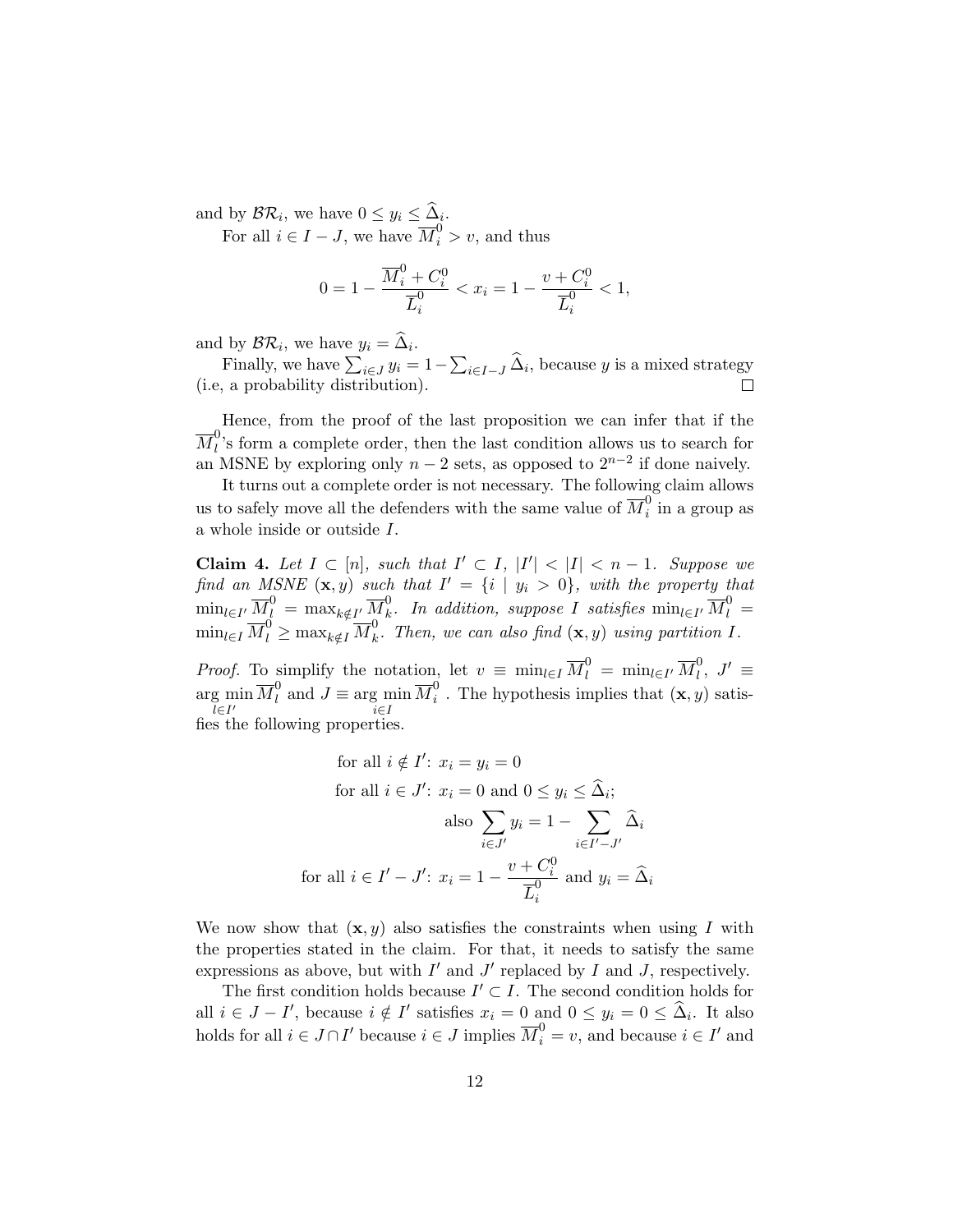and by  $\mathcal{BR}_i$ , we have  $0 \leq y_i \leq \Delta_i$ .

For all  $i \in I - J$ , we have  $\overline{M}_i^0 > v$ , and thus

$$
0=1-\frac{\overline{M}^0_i+C^0_i}{\overline{L}^0_i}
$$

and by  $\mathcal{BR}_i$ , we have  $y_i = \Delta_i$ .

Finally, we have  $\sum_{i \in J} y_i = 1 - \sum_{i \in I-J} \Delta_i$ , because y is a mixed strategy (i.e, a probability distribution).  $\Box$ 

Hence, from the proof of the last proposition we can infer that if the  $\overline{M}_l^0$  $\mu$ 's form a complete order, then the last condition allows us to search for an MSNE by exploring only  $n-2$  sets, as opposed to  $2^{n-2}$  if done naively.

It turns out a complete order is not necessary. The following claim allows us to safely move all the defenders with the same value of  $\overline{M}_i^0$  $\frac{0}{i}$  in a group as a whole inside or outside I.

Claim 4. Let  $I \subset [n]$ , such that  $I' \subset I$ ,  $|I'| < |I| < n-1$ . Suppose we find an MSNE  $(\mathbf{x}, y)$  such that  $I' = \{i \mid y_i > 0\}$ , with the property that  $\min_{l\in I'}\overline{M}^0_l\,=\,\max_{k\notin I'}\overline{M}^0_k$  $\stackrel{0}{k}$ . In addition, suppose I satisfies  $\min_{l\in I'}\overline{M}_l^0=0$  $\min_{l \in I} \overline{M}_l^0 \geq \max_{k \notin I} \overline{M}_k^0$  $\mu_k^0$ . Then, we can also find  $(\mathbf{x}, y)$  using partition I.

*Proof.* To simplify the notation, let  $v \equiv \min_{l \in I} \overline{M}_l^0 = \min_{l \in I'} \overline{M}_l^0$  $\bigcup_l^0, J' \equiv$  $\argmin_{l \in I'} \overline{M}_l^0$  and  $J \equiv \argmin_{i \in I} \overline{M}_i^0$ l∈I i∈I  $i$ . The hypothesis implies that  $(\mathbf{x}, y)$  satisfies the following properties.

for all 
$$
i \notin I'
$$
:  $x_i = y_i = 0$   
\nfor all  $i \in J'$ :  $x_i = 0$  and  $0 \le y_i \le \hat{\Delta}_i$ ;  
\nalso  $\sum_{i \in J'} y_i = 1 - \sum_{i \in I' - J'} \hat{\Delta}_i$   
\nfor all  $i \in I' - J'$ :  $x_i = 1 - \frac{v + C_i^0}{\overline{L}_i^0}$  and  $y_i = \hat{\Delta}_i$ 

We now show that  $(x, y)$  also satisfies the constraints when using I with the properties stated in the claim. For that, it needs to satisfy the same expressions as above, but with  $I'$  and  $J'$  replaced by  $I$  and  $J$ , respectively.

The first condition holds because  $I' \subset I$ . The second condition holds for all  $i \in J - I'$ , because  $i \notin I'$  satisfies  $x_i = 0$  and  $0 \le y_i = 0 \le \hat{\Delta}_i$ . It also holds for all  $i \in J \cap I'$  because  $i \in J$  implies  $\overline{M}_i^0 = v$ , and because  $i \in I'$  and